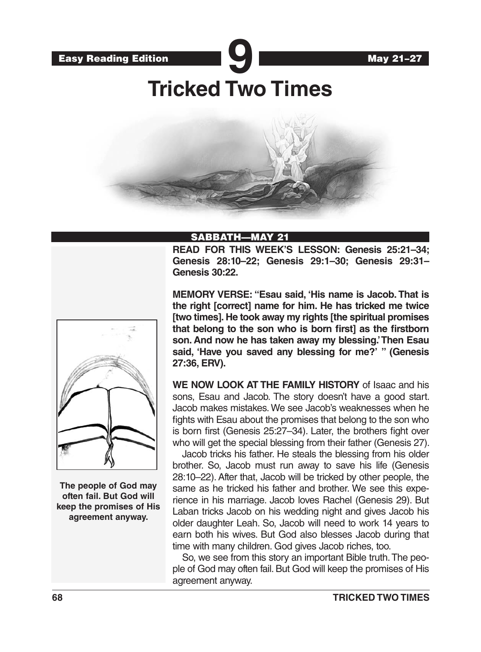



# **Tricked Two Times**



### SABBATH—MAY 21

**READ FOR THIS WEEK'S LESSON: Genesis 25:21–34; Genesis 28:10–22; Genesis 29:1–30; Genesis 29:31– Genesis 30:22.**



**The people of God may often fail. But God will keep the promises of His agreement anyway.**

**MEMORY VERSE: "Esau said, 'His name is Jacob. That is the right [correct] name for him. He has tricked me twice [two times]. He took away my rights [the spiritual promises that belong to the son who is born first] as the firstborn son. And now he has taken away my blessing.' Then Esau said, 'Have you saved any blessing for me?' " (Genesis 27:36, ERV).**

**WE NOW LOOK AT THE FAMILY HISTORY** of Isaac and his sons, Esau and Jacob. The story doesn't have a good start. Jacob makes mistakes. We see Jacob's weaknesses when he fights with Esau about the promises that belong to the son who is born first (Genesis 25:27–34). Later, the brothers fight over who will get the special blessing from their father (Genesis 27).

Jacob tricks his father. He steals the blessing from his older brother. So, Jacob must run away to save his life (Genesis 28:10–22). After that, Jacob will be tricked by other people, the same as he tricked his father and brother. We see this experience in his marriage. Jacob loves Rachel (Genesis 29). But Laban tricks Jacob on his wedding night and gives Jacob his older daughter Leah. So, Jacob will need to work 14 years to earn both his wives. But God also blesses Jacob during that time with many children. God gives Jacob riches, too.

So, we see from this story an important Bible truth. The people of God may often fail. But God will keep the promises of His agreement anyway.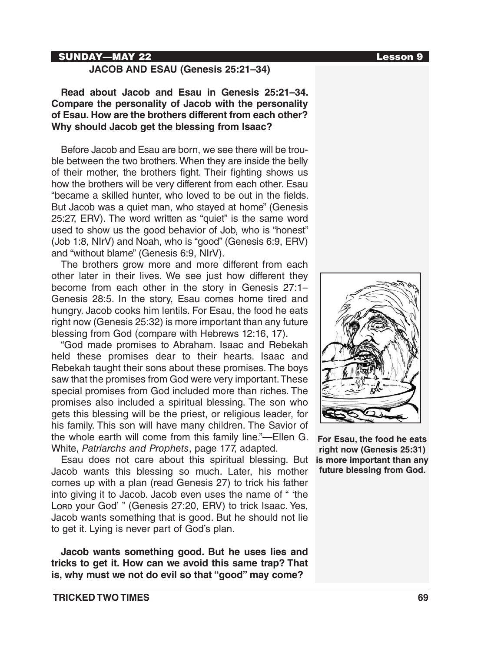### SUNDAY—MAY 22 Lesson 9

### **JACOB AND ESAU (Genesis 25:21–34)**

### **Read about Jacob and Esau in Genesis 25:21–34. Compare the personality of Jacob with the personality of Esau. How are the brothers different from each other? Why should Jacob get the blessing from Isaac?**

Before Jacob and Esau are born, we see there will be trouble between the two brothers. When they are inside the belly of their mother, the brothers fight. Their fighting shows us how the brothers will be very different from each other. Esau "became a skilled hunter, who loved to be out in the fields. But Jacob was a quiet man, who stayed at home" (Genesis 25:27, ERV). The word written as "quiet" is the same word used to show us the good behavior of Job, who is "honest" (Job 1:8, NIrV) and Noah, who is "good" (Genesis 6:9, ERV) and "without blame" (Genesis 6:9, NIrV).

The brothers grow more and more different from each other later in their lives. We see just how different they become from each other in the story in Genesis 27:1– Genesis 28:5. In the story, Esau comes home tired and hungry. Jacob cooks him lentils. For Esau, the food he eats right now (Genesis 25:32) is more important than any future blessing from God (compare with Hebrews 12:16, 17).

"God made promises to Abraham. Isaac and Rebekah held these promises dear to their hearts. Isaac and Rebekah taught their sons about these promises. The boys saw that the promises from God were very important. These special promises from God included more than riches. The promises also included a spiritual blessing. The son who gets this blessing will be the priest, or religious leader, for his family. This son will have many children. The Savior of the whole earth will come from this family line."—Ellen G. White, *Patriarchs and Prophets*, page 177, adapted.

Esau does not care about this spiritual blessing. But Jacob wants this blessing so much. Later, his mother comes up with a plan (read Genesis 27) to trick his father into giving it to Jacob. Jacob even uses the name of " 'the Lora your God'" (Genesis 27:20, ERV) to trick Isaac. Yes, Jacob wants something that is good. But he should not lie to get it. Lying is never part of God's plan.

**Jacob wants something good. But he uses lies and tricks to get it. How can we avoid this same trap? That is, why must we not do evil so that "good" may come?**



**For Esau, the food he eats right now (Genesis 25:31) is more important than any future blessing from God.**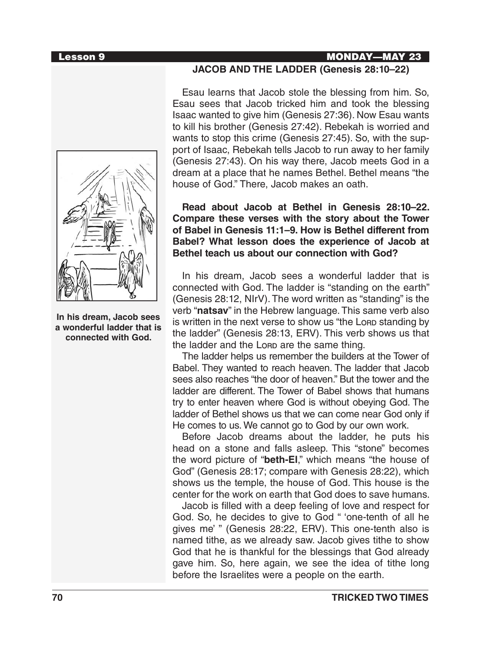### Lesson 9 MONDAY—MAY 23



**In his dream, Jacob sees a wonderful ladder that is connected with God.**

### **JACOB AND THE LADDER (Genesis 28:10–22)**

Esau learns that Jacob stole the blessing from him. So, Esau sees that Jacob tricked him and took the blessing Isaac wanted to give him (Genesis 27:36). Now Esau wants to kill his brother (Genesis 27:42). Rebekah is worried and wants to stop this crime (Genesis 27:45). So, with the support of Isaac, Rebekah tells Jacob to run away to her family (Genesis 27:43). On his way there, Jacob meets God in a dream at a place that he names Bethel. Bethel means "the house of God." There, Jacob makes an oath.

**Read about Jacob at Bethel in Genesis 28:10–22. Compare these verses with the story about the Tower of Babel in Genesis 11:1–9. How is Bethel different from Babel? What lesson does the experience of Jacob at Bethel teach us about our connection with God?** 

In his dream, Jacob sees a wonderful ladder that is connected with God. The ladder is "standing on the earth" (Genesis 28:12, NIrV). The word written as "standing" is the verb "**natsav**" in the Hebrew language. This same verb also is written in the next verse to show us "the Lore standing by the ladder" (Genesis 28:13, ERV). This verb shows us that the ladder and the Lorp are the same thing.

The ladder helps us remember the builders at the Tower of Babel. They wanted to reach heaven. The ladder that Jacob sees also reaches "the door of heaven." But the tower and the ladder are different. The Tower of Babel shows that humans try to enter heaven where God is without obeying God. The ladder of Bethel shows us that we can come near God only if He comes to us. We cannot go to God by our own work.

Before Jacob dreams about the ladder, he puts his head on a stone and falls asleep. This "stone" becomes the word picture of "**beth-El**," which means "the house of God" (Genesis 28:17; compare with Genesis 28:22), which shows us the temple, the house of God. This house is the center for the work on earth that God does to save humans.

Jacob is filled with a deep feeling of love and respect for God. So, he decides to give to God " 'one-tenth of all he gives me' " (Genesis 28:22, ERV). This one-tenth also is named tithe, as we already saw. Jacob gives tithe to show God that he is thankful for the blessings that God already gave him. So, here again, we see the idea of tithe long before the Israelites were a people on the earth.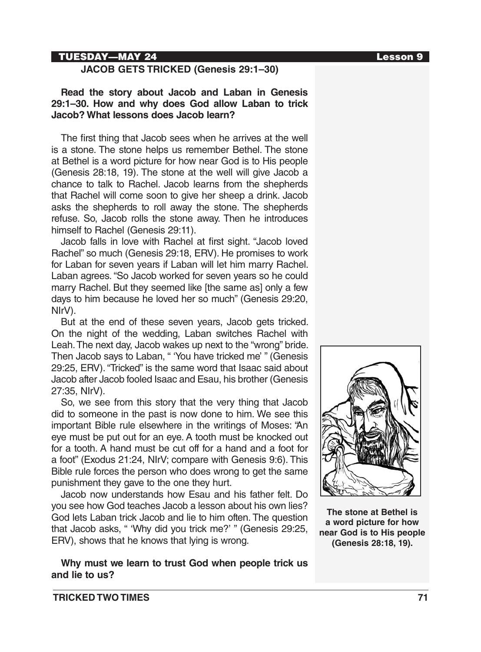### TUESDAY—MAY 24 Lesson 9

### **JACOB GETS TRICKED (Genesis 29:1–30)**

### **Read the story about Jacob and Laban in Genesis 29:1–30. How and why does God allow Laban to trick Jacob? What lessons does Jacob learn?**

The first thing that Jacob sees when he arrives at the well is a stone. The stone helps us remember Bethel. The stone at Bethel is a word picture for how near God is to His people (Genesis 28:18, 19). The stone at the well will give Jacob a chance to talk to Rachel. Jacob learns from the shepherds that Rachel will come soon to give her sheep a drink. Jacob asks the shepherds to roll away the stone. The shepherds refuse. So, Jacob rolls the stone away. Then he introduces himself to Rachel (Genesis 29:11).

Jacob falls in love with Rachel at first sight. "Jacob loved Rachel" so much (Genesis 29:18, ERV). He promises to work for Laban for seven years if Laban will let him marry Rachel. Laban agrees. "So Jacob worked for seven years so he could marry Rachel. But they seemed like [the same as] only a few days to him because he loved her so much" (Genesis 29:20, NIrV).

But at the end of these seven years, Jacob gets tricked. On the night of the wedding, Laban switches Rachel with Leah. The next day, Jacob wakes up next to the "wrong" bride. Then Jacob says to Laban, " 'You have tricked me' " (Genesis 29:25, ERV). "Tricked" is the same word that Isaac said about Jacob after Jacob fooled Isaac and Esau, his brother (Genesis 27:35, NIrV).

So, we see from this story that the very thing that Jacob did to someone in the past is now done to him. We see this important Bible rule elsewhere in the writings of Moses: "An eye must be put out for an eye. A tooth must be knocked out for a tooth. A hand must be cut off for a hand and a foot for a foot" (Exodus 21:24, NIrV; compare with Genesis 9:6). This Bible rule forces the person who does wrong to get the same punishment they gave to the one they hurt.

Jacob now understands how Esau and his father felt. Do you see how God teaches Jacob a lesson about his own lies? God lets Laban trick Jacob and lie to him often. The question that Jacob asks, " 'Why did you trick me?' " (Genesis 29:25, ERV), shows that he knows that lying is wrong.

**Why must we learn to trust God when people trick us and lie to us?**



**The stone at Bethel is a word picture for how near God is to His people (Genesis 28:18, 19).**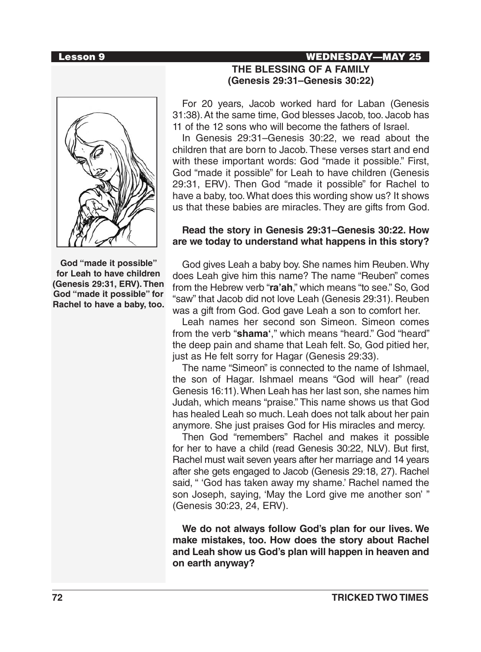### Lesson 9 WEDNESDAY—MAY 25

**God "made it possible" for Leah to have children (Genesis 29:31, ERV). Then God "made it possible" for Rachel to have a baby, too.**

# **THE BLESSING OF A FAMILY (Genesis 29:31–Genesis 30:22)**

For 20 years, Jacob worked hard for Laban (Genesis 31:38). At the same time, God blesses Jacob, too. Jacob has 11 of the 12 sons who will become the fathers of Israel.

In Genesis 29:31–Genesis 30:22, we read about the children that are born to Jacob. These verses start and end with these important words: God "made it possible." First, God "made it possible" for Leah to have children (Genesis 29:31, ERV). Then God "made it possible" for Rachel to have a baby, too. What does this wording show us? It shows us that these babies are miracles. They are gifts from God.

### **Read the story in Genesis 29:31–Genesis 30:22. How are we today to understand what happens in this story?**

God gives Leah a baby boy. She names him Reuben. Why does Leah give him this name? The name "Reuben" comes from the Hebrew verb "**ra'ah**," which means "to see." So, God "saw" that Jacob did not love Leah (Genesis 29:31). Reuben was a gift from God. God gave Leah a son to comfort her.

Leah names her second son Simeon. Simeon comes from the verb "**shama'**," which means "heard." God "heard" the deep pain and shame that Leah felt. So, God pitied her, just as He felt sorry for Hagar (Genesis 29:33).

The name "Simeon" is connected to the name of Ishmael, the son of Hagar. Ishmael means "God will hear" (read Genesis 16:11). When Leah has her last son, she names him Judah, which means "praise." This name shows us that God has healed Leah so much. Leah does not talk about her pain anymore. She just praises God for His miracles and mercy.

Then God "remembers" Rachel and makes it possible for her to have a child (read Genesis 30:22, NLV). But first, Rachel must wait seven years after her marriage and 14 years after she gets engaged to Jacob (Genesis 29:18, 27). Rachel said, " 'God has taken away my shame.' Rachel named the son Joseph, saying, 'May the Lord give me another son' " (Genesis 30:23, 24, ERV).

**We do not always follow God's plan for our lives. We make mistakes, too. How does the story about Rachel and Leah show us God's plan will happen in heaven and on earth anyway?**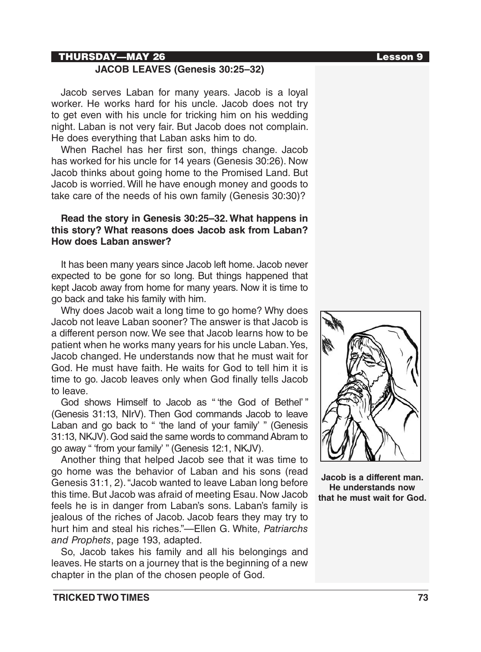### THURSDAY—MAY 26 Lesson 9

### **JACOB LEAVES (Genesis 30:25–32)**

Jacob serves Laban for many years. Jacob is a loyal worker. He works hard for his uncle. Jacob does not try to get even with his uncle for tricking him on his wedding night. Laban is not very fair. But Jacob does not complain. He does everything that Laban asks him to do.

When Rachel has her first son, things change. Jacob has worked for his uncle for 14 years (Genesis 30:26). Now Jacob thinks about going home to the Promised Land. But Jacob is worried. Will he have enough money and goods to take care of the needs of his own family (Genesis 30:30)?

### **Read the story in Genesis 30:25–32. What happens in this story? What reasons does Jacob ask from Laban? How does Laban answer?**

It has been many years since Jacob left home. Jacob never expected to be gone for so long. But things happened that kept Jacob away from home for many years. Now it is time to go back and take his family with him.

Why does Jacob wait a long time to go home? Why does Jacob not leave Laban sooner? The answer is that Jacob is a different person now. We see that Jacob learns how to be patient when he works many years for his uncle Laban. Yes, Jacob changed. He understands now that he must wait for God. He must have faith. He waits for God to tell him it is time to go. Jacob leaves only when God finally tells Jacob to leave.

God shows Himself to Jacob as " 'the God of Bethel' " (Genesis 31:13, NIrV). Then God commands Jacob to leave Laban and go back to " 'the land of your family' " (Genesis 31:13, NKJV). God said the same words to command Abram to go away " 'from your family' " (Genesis 12:1, NKJV).

Another thing that helped Jacob see that it was time to go home was the behavior of Laban and his sons (read Genesis 31:1, 2). "Jacob wanted to leave Laban long before this time. But Jacob was afraid of meeting Esau. Now Jacob feels he is in danger from Laban's sons. Laban's family is jealous of the riches of Jacob. Jacob fears they may try to hurt him and steal his riches."—Ellen G. White, *Patriarchs and Prophets*, page 193, adapted.

So, Jacob takes his family and all his belongings and leaves. He starts on a journey that is the beginning of a new chapter in the plan of the chosen people of God.





**Jacob is a different man. He understands now that he must wait for God.**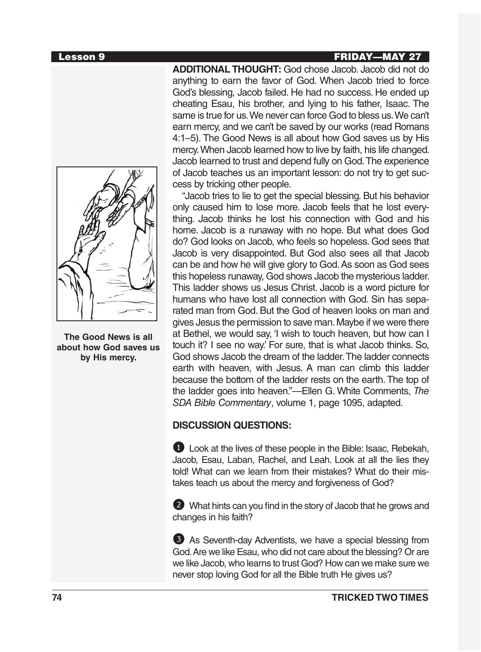### Lesson 9 FRIDAY—MAY 27



**The Good News is all about how God saves us by His mercy.** 

**ADDITIONAL THOUGHT:** God chose Jacob. Jacob did not do anything to earn the favor of God. When Jacob tried to force God's blessing, Jacob failed. He had no success. He ended up cheating Esau, his brother, and lying to his father, Isaac. The same is true for us. We never can force God to bless us. We can't earn mercy, and we can't be saved by our works (read Romans 4:1–5). The Good News is all about how God saves us by His mercy. When Jacob learned how to live by faith, his life changed. Jacob learned to trust and depend fully on God. The experience of Jacob teaches us an important lesson: do not try to get success by tricking other people.

"Jacob tries to lie to get the special blessing. But his behavior only caused him to lose more. Jacob feels that he lost everything. Jacob thinks he lost his connection with God and his home. Jacob is a runaway with no hope. But what does God do? God looks on Jacob, who feels so hopeless. God sees that Jacob is very disappointed. But God also sees all that Jacob can be and how he will give glory to God. As soon as God sees this hopeless runaway, God shows Jacob the mysterious ladder. This ladder shows us Jesus Christ. Jacob is a word picture for humans who have lost all connection with God. Sin has separated man from God. But the God of heaven looks on man and gives Jesus the permission to save man. Maybe if we were there at Bethel, we would say, 'I wish to touch heaven, but how can I touch it? I see no way.' For sure, that is what Jacob thinks. So, God shows Jacob the dream of the ladder. The ladder connects earth with heaven, with Jesus. A man can climb this ladder because the bottom of the ladder rests on the earth. The top of the ladder goes into heaven."—Ellen G. White Comments, *The SDA Bible Commentary*, volume 1, page 1095, adapted.

### **DISCUSSION QUESTIONS:**

**1** Look at the lives of these people in the Bible: Isaac, Rebekah, Jacob, Esau, Laban, Rachel, and Leah. Look at all the lies they told! What can we learn from their mistakes? What do their mistakes teach us about the mercy and forgiveness of God?

2 What hints can you find in the story of Jacob that he grows and changes in his faith?

3 As Seventh-day Adventists, we have a special blessing from God. Are we like Esau, who did not care about the blessing? Or are we like Jacob, who learns to trust God? How can we make sure we never stop loving God for all the Bible truth He gives us?